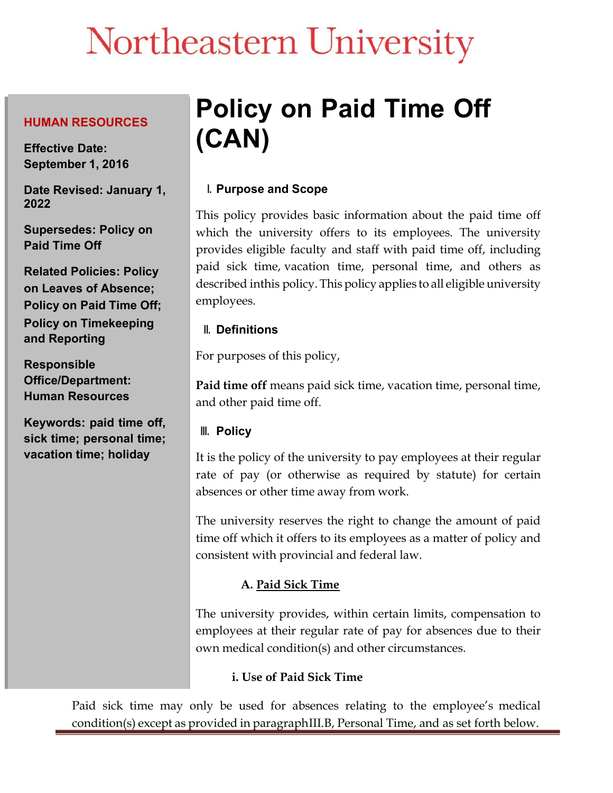# Northeastern University

#### **HUMAN RESOURCES**

**Effective Date: September 1, 2016**

**Date Revised: January 1, 2022**

**Supersedes: Policy on Paid Time Off**

**Related Policies: Policy on Leaves of Absence; Policy on Paid Time Off; Policy on Timekeeping and Reporting**

**Responsible Office/Department: Human Resources**

**Keywords: paid time off, sick time; personal time; vacation time; holiday**

# **Policy on Paid Time Off (CAN)**

# **I. Purpose and Scope**

This policy provides basic information about the paid time off which the university offers to its employees. The university provides eligible faculty and staff with paid time off, including paid sick time, vacation time, personal time, and others as described inthis policy. This policy applies to all eligible university employees.

# **II. Definitions**

For purposes of this policy,

**Paid time off** means paid sick time, vacation time, personal time, and other paid time off.

# **III. Policy**

It is the policy of the university to pay employees at their regular rate of pay (or otherwise as required by statute) for certain absences or other time away from work.

The university reserves the right to change the amount of paid time off which it offers to its employees as a matter of policy and consistent with provincial and federal law.

# **A. Paid Sick Time**

The university provides, within certain limits, compensation to employees at their regular rate of pay for absences due to their own medical condition(s) and other circumstances.

# **i. Use of Paid Sick Time**

Paid sick time may only be used for absences relating to the employee's medical condition(s) except as provided in paragraph III.B, Personal Time, and as set forth below.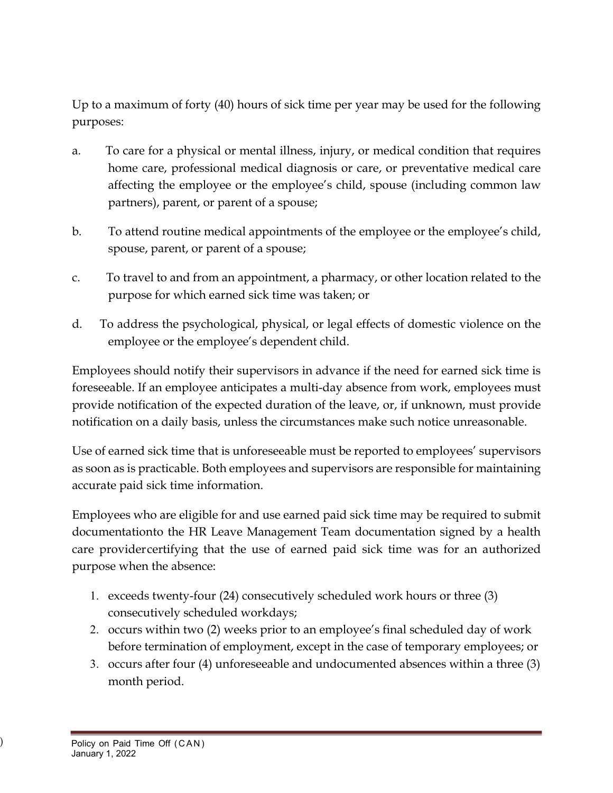Up to a maximum of forty (40) hours of sick time per year may be used for the following purposes:

- a. To care for a physical or mental illness, injury, or medical condition that requires home care, professional medical diagnosis or care, or preventative medical care affecting the employee or the employee's child, spouse (including common law partners), parent, or parent of a spouse;
- b. To attend routine medical appointments of the employee or the employee's child, spouse, parent, or parent of a spouse;
- c. To travel to and from an appointment, a pharmacy, or other location related to the purpose for which earned sick time was taken; or
- d. To address the psychological, physical, or legal effects of domestic violence on the employee or the employee's dependent child.

Employees should notify their supervisors in advance if the need for earned sick time is foreseeable. If an employee anticipates a multi-day absence from work, employees must provide notification of the expected duration of the leave, or, if unknown, must provide notification on a daily basis, unless the circumstances make such notice unreasonable.

Use of earned sick time that is unforeseeable must be reported to employees' supervisors as soon as is practicable. Both employees and supervisors are responsible for maintaining accurate paid sick time information.

Employees who are eligible for and use earned paid sick time may be required to submit documentationto the HR Leave Management Team documentation signed by a health care providercertifying that the use of earned paid sick time was for an authorized purpose when the absence:

- 1. exceeds twenty-four (24) consecutively scheduled work hours or three (3) consecutively scheduled workdays;
- 2. occurs within two (2) weeks prior to an employee's final scheduled day of work before termination of employment, except in the case of temporary employees; or
- 3. occurs after four (4) unforeseeable and undocumented absences within a three (3) month period.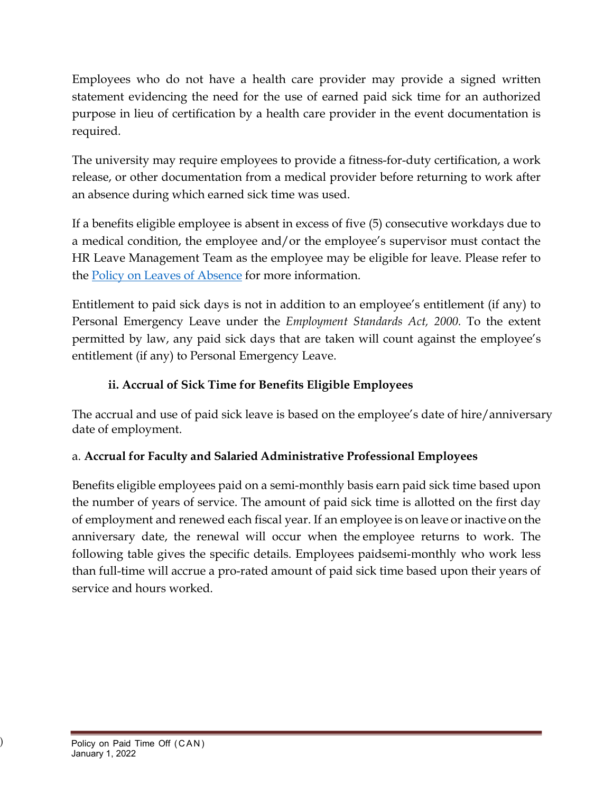Employees who do not have a health care provider may provide a signed written statement evidencing the need for the use of earned paid sick time for an authorized purpose in lieu of certification by a health care provider in the event documentation is required.

The university may require employees to provide a fitness-for-duty certification, a work release, or other documentation from a medical provider before returning to work after an absence during which earned sick time was used.

If a benefits eligible employee is absent in excess of five (5) consecutive workdays due to a medical condition, the employee and/or the employee's supervisor must contact the HR Leave Management Team as the employee may be eligible for leave. Please refer to the Policy on Leaves of Absence for more information.

Entitlement to paid sick days is not in addition to an employee's entitlement (if any) to Personal Emergency Leave under the *Employment Standards Act, 2000.* To the extent permitted by law, any paid sick days that are taken will count against the employee's entitlement (if any) to Personal Emergency Leave.

# **ii. Accrual of Sick Time for Benefits Eligible Employees**

The accrual and use of paid sick leave is based on the employee's date of hire/anniversary date of employment.

# a. **Accrual for Faculty and Salaried Administrative Professional Employees**

Benefits eligible employees paid on a semi-monthly basis earn paid sick time based upon the number of years of service. The amount of paid sick time is allotted on the first day of employment and renewed each fiscal year. If an employee is on leave or inactive on the anniversary date, the renewal will occur when the employee returns to work. The following table gives the specific details. Employees paidsemi-monthly who work less than full-time will accrue a pro-rated amount of paid sick time based upon their years of service and hours worked.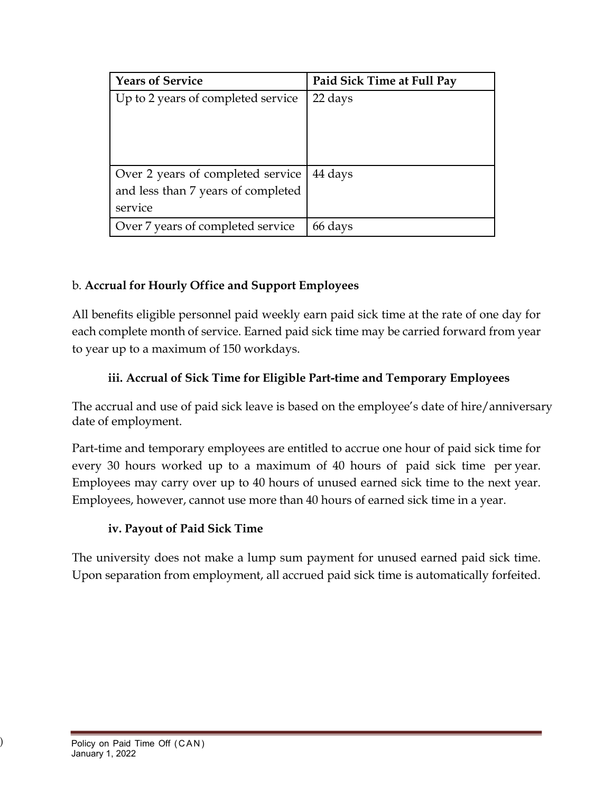| <b>Years of Service</b>            | Paid Sick Time at Full Pay |
|------------------------------------|----------------------------|
| Up to 2 years of completed service | 22 days                    |
|                                    |                            |
|                                    |                            |
|                                    |                            |
| Over 2 years of completed service  | 44 days                    |
| and less than 7 years of completed |                            |
| service                            |                            |
| Over 7 years of completed service  | 66 days                    |

# b. **Accrual for Hourly Office and Support Employees**

All benefits eligible personnel paid weekly earn paid sick time at the rate of one day for each complete month of service. Earned paid sick time may be carried forward from year to year up to a maximum of 150 workdays.

#### **iii. Accrual of Sick Time for Eligible Part-time and Temporary Employees**

The accrual and use of paid sick leave is based on the employee's date of hire/anniversary date of employment.

Part-time and temporary employees are entitled to accrue one hour of paid sick time for every 30 hours worked up to a maximum of 40 hours of paid sick time per year. Employees may carry over up to 40 hours of unused earned sick time to the next year. Employees, however, cannot use more than 40 hours of earned sick time in a year.

#### **iv. Payout of Paid Sick Time**

The university does not make a lump sum payment for unused earned paid sick time. Upon separation from employment, all accrued paid sick time is automatically forfeited.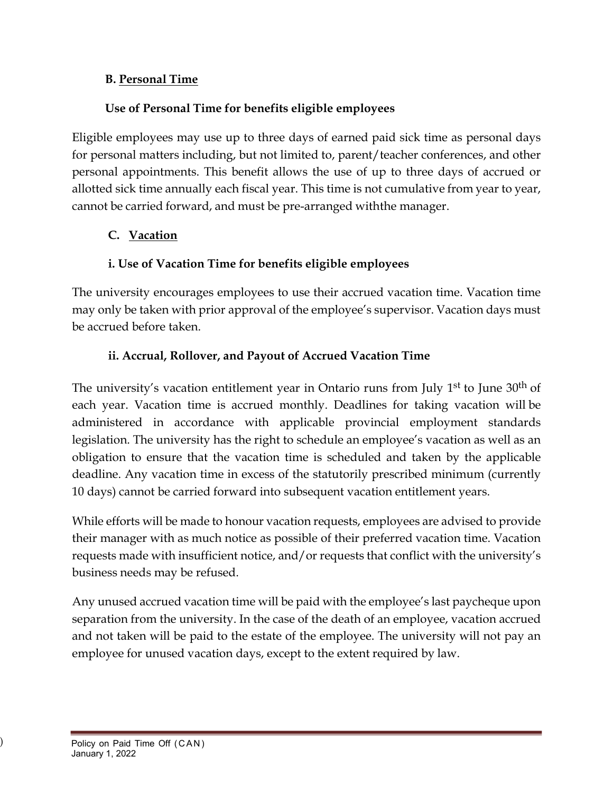#### **B. Personal Time**

#### **Use of Personal Time for benefits eligible employees**

Eligible employees may use up to three days of earned paid sick time as personal days for personal matters including, but not limited to, parent/teacher conferences, and other personal appointments. This benefit allows the use of up to three days of accrued or allotted sick time annually each fiscal year. This time is not cumulative from year to year, cannot be carried forward, and must be pre-arranged withthe manager.

#### **C. Vacation**

#### **i. Use of Vacation Time for benefits eligible employees**

The university encourages employees to use their accrued vacation time. Vacation time may only be taken with prior approval of the employee's supervisor. Vacation days must be accrued before taken.

#### **ii. Accrual, Rollover, and Payout of Accrued Vacation Time**

The university's vacation entitlement year in Ontario runs from July 1<sup>st</sup> to June 30<sup>th</sup> of each year. Vacation time is accrued monthly. Deadlines for taking vacation will be administered in accordance with applicable provincial employment standards legislation. The university has the right to schedule an employee's vacation as well as an obligation to ensure that the vacation time is scheduled and taken by the applicable deadline. Any vacation time in excess of the statutorily prescribed minimum (currently 10 days) cannot be carried forward into subsequent vacation entitlement years.

While efforts will be made to honour vacation requests, employees are advised to provide their manager with as much notice as possible of their preferred vacation time. Vacation requests made with insufficient notice, and/or requests that conflict with the university's business needs may be refused.

Any unused accrued vacation time will be paid with the employee's last paycheque upon separation from the university. In the case of the death of an employee, vacation accrued and not taken will be paid to the estate of the employee. The university will not pay an employee for unused vacation days, except to the extent required by law.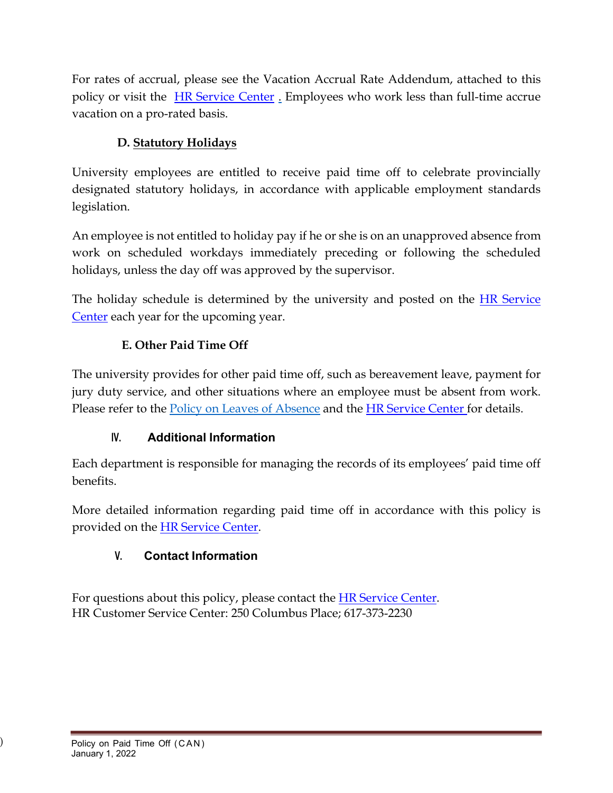For rates of accrual, please see the Vacation Accrual Rate Addendum, attached to this policy or visit the HR [Service](https://service.northeastern.edu/hr?id=index_hr) Center . Employees who work less than full-time accrue vacation on a pro-rated basis.

# **D. Statutory Holidays**

University employees are entitled to receive paid time off to celebrate provincially designated statutory holidays, in accordance with applicable employment standards legislation.

An employee is not entitled to holiday pay if he or she is on an unapproved absence from work on scheduled workdays immediately preceding or following the scheduled holidays, unless the day off was approved by the supervisor.

The holiday schedule is determined by the university and posted on the **HR** Service [Center](https://service.northeastern.edu/hr?id=index_hr) each year for the upcoming year.

#### **E. Other Paid Time Off**

The university provides for other paid time off, such as bereavement leave, payment for jury duty service, and other situations where an employee must be absent from work. Please refer to the Policy on Leaves of Absence and the [HR Service Center](https://service.northeastern.edu/hr?id=index_hr) for details.

#### **IV. Additional Information**

Each department is responsible for managing the records of its employees' paid time off benefits.

More detailed information regarding paid time off in accordance with this policy is provided on the [HR Service Center.](https://service.northeastern.edu/hr?id=index_hr)

# **V. Contact Information**

For questions about this policy, please contact the [HR Service Center.](https://service.northeastern.edu/hr?id=index_hr) HR Customer Service Center: 250 Columbus Place; 617-373-2230